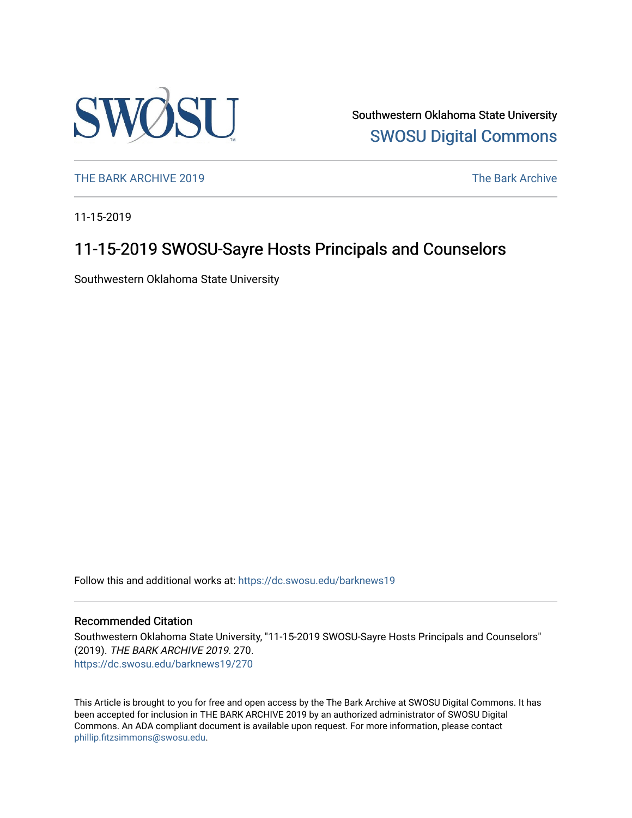

Southwestern Oklahoma State University [SWOSU Digital Commons](https://dc.swosu.edu/) 

[THE BARK ARCHIVE 2019](https://dc.swosu.edu/barknews19) The Bark Archive

11-15-2019

### 11-15-2019 SWOSU-Sayre Hosts Principals and Counselors

Southwestern Oklahoma State University

Follow this and additional works at: [https://dc.swosu.edu/barknews19](https://dc.swosu.edu/barknews19?utm_source=dc.swosu.edu%2Fbarknews19%2F270&utm_medium=PDF&utm_campaign=PDFCoverPages)

#### Recommended Citation

Southwestern Oklahoma State University, "11-15-2019 SWOSU-Sayre Hosts Principals and Counselors" (2019). THE BARK ARCHIVE 2019. 270. [https://dc.swosu.edu/barknews19/270](https://dc.swosu.edu/barknews19/270?utm_source=dc.swosu.edu%2Fbarknews19%2F270&utm_medium=PDF&utm_campaign=PDFCoverPages)

This Article is brought to you for free and open access by the The Bark Archive at SWOSU Digital Commons. It has been accepted for inclusion in THE BARK ARCHIVE 2019 by an authorized administrator of SWOSU Digital Commons. An ADA compliant document is available upon request. For more information, please contact [phillip.fitzsimmons@swosu.edu](mailto:phillip.fitzsimmons@swosu.edu).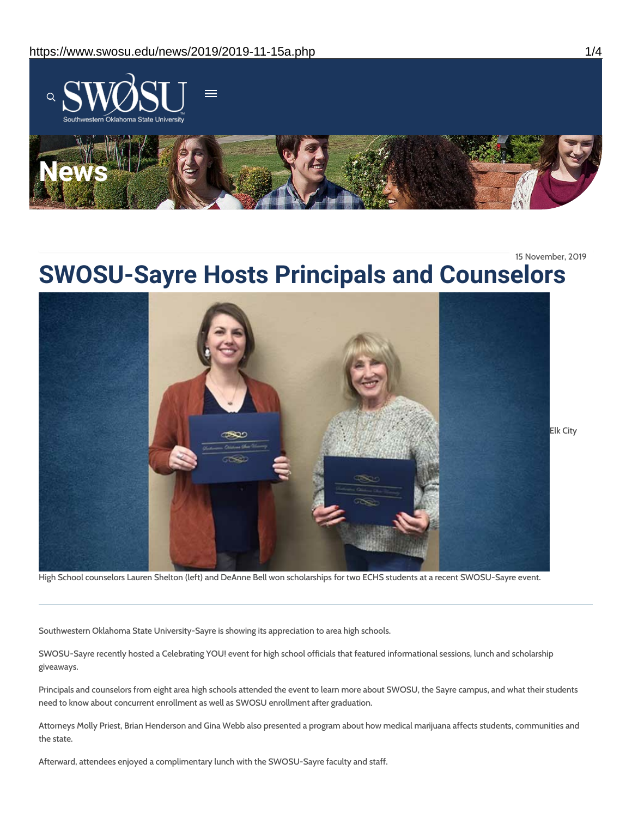

15 November, 2019

## **SWOSU-Sayre Hosts Principals and Counselors**



High School counselors Lauren Shelton (left) and DeAnne Bell won scholarships for two ECHS students at a recent SWOSU-Sayre event.

Southwestern Oklahoma State University-Sayre is showing its appreciation to area high schools.

SWOSU-Sayre recently hosted a Celebrating YOU! event for high school officials that featured informational sessions, lunch and scholarship giveaways.

Principals and counselors from eight area high schools attended the event to learn more about SWOSU, the Sayre campus, and what their students need to know about concurrent enrollment as well as SWOSU enrollment after graduation.

Attorneys Molly Priest, Brian Henderson and Gina Webb also presented a program about how medical marijuana affects students, communities and the state.

Afterward, attendees enjoyed a complimentary lunch with the SWOSU-Sayre faculty and staff.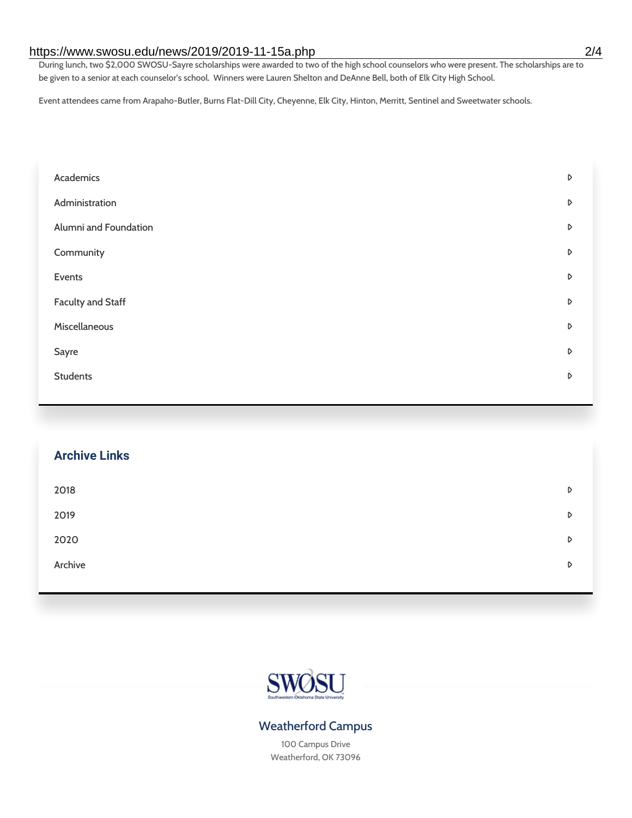#### https://www.swosu.edu/news/2019/2019-11-15a.php 2/4

During lunch, two \$2,000 SWOSU-Sayre scholarships were awarded to two of the high school counselors who were present. The scholarships are to be given to a senior at each counselor's school. Winners were Lauren Shelton and DeAnne Bell, both of Elk City High School.

Event attendees came from Arapaho-Butler, Burns Flat-Dill City, Cheyenne, Elk City, Hinton, Merritt, Sentinel and Sweetwater schools.

| Academics                | D |
|--------------------------|---|
| Administration           | D |
| Alumni and Foundation    | D |
| Community                | D |
| Events                   | D |
| <b>Faculty and Staff</b> | D |
| Miscellaneous            | D |
| Sayre                    | D |
| <b>Students</b>          | D |
|                          |   |

# **Archive Links**  $2018$  $2019$ [2020](https://www.swosu.edu/news/2020/index.php)  $\bullet$ [Archive](https://dc.swosu.edu/bark/) **Archive Archive Archive Archive Archive** Archive Archive Archive Archive Archive Archive Archive Archive



#### Weatherford Campus

100 Campus Drive Weatherford, OK 73096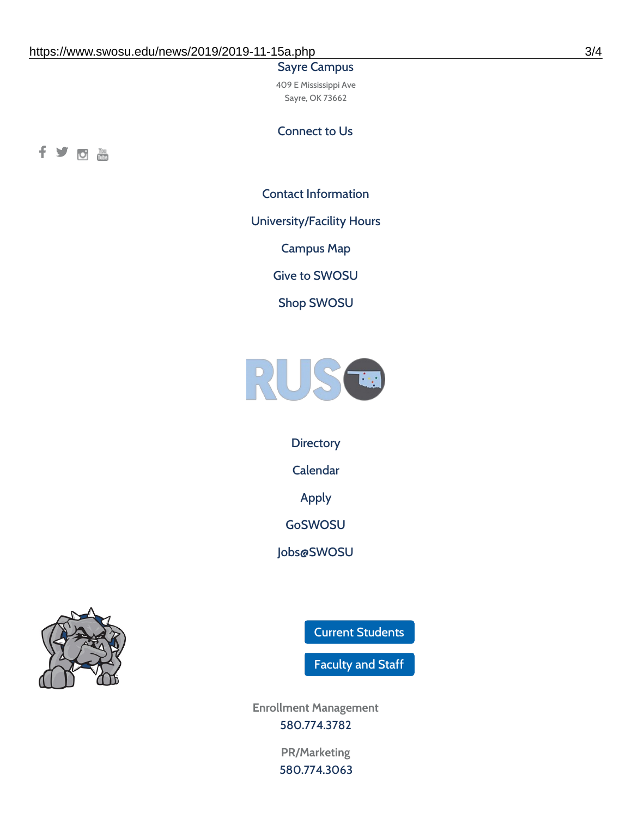#### Sayre Campus

409 E Mississippi Ave Sayre, OK 73662

Connect to Us



Contact [Information](https://www.swosu.edu/about/contact.php)

[University/Facility](https://www.swosu.edu/about/operating-hours.php) Hours

[Campus](https://map.concept3d.com/?id=768#!ct/10964,10214,10213,10212,10205,10204,10203,10202,10136,10129,10128,0,31226,10130,10201,10641,0) Map

Give to [SWOSU](https://standingfirmly.com/donate)

Shop [SWOSU](https://shopswosu.merchorders.com/)



**[Directory](https://www.swosu.edu/directory/index.php)** 

[Calendar](https://eventpublisher.dudesolutions.com/swosu/)

[Apply](https://www.swosu.edu/admissions/apply-to-swosu.php)

[GoSWOSU](https://qlsso.quicklaunchsso.com/home/1267)

[Jobs@SWOSU](https://swosu.csod.com/ux/ats/careersite/1/home?c=swosu)



Current [Students](https://bulldog.swosu.edu/index.php)

[Faculty](https://bulldog.swosu.edu/faculty-staff/index.php) and Staff

**Enrollment Management** [580.774.3782](tel:5807743782)

> **PR/Marketing** [580.774.3063](tel:5807743063)